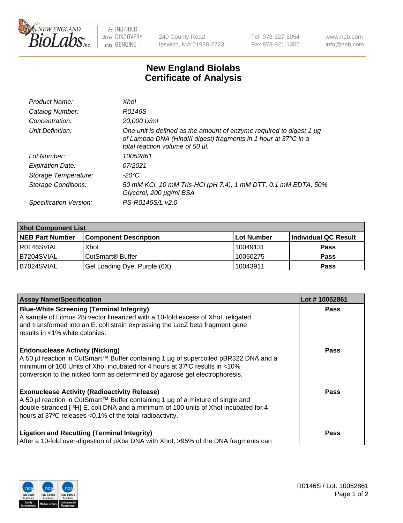

 $be$  INSPIRED drive DISCOVERY stay GENUINE

240 County Road Ipswich, MA 01938-2723 Tel 978-927-5054 Fax 978-921-1350 www.neb.com info@neb.com

## **New England Biolabs Certificate of Analysis**

| Product Name:              | Xhol                                                                                                                                                                      |
|----------------------------|---------------------------------------------------------------------------------------------------------------------------------------------------------------------------|
| Catalog Number:            | R0146S                                                                                                                                                                    |
| Concentration:             | 20,000 U/ml                                                                                                                                                               |
| Unit Definition:           | One unit is defined as the amount of enzyme required to digest 1 µg<br>of Lambda DNA (HindIII digest) fragments in 1 hour at 37°C in a<br>total reaction volume of 50 µl. |
| Lot Number:                | 10052861                                                                                                                                                                  |
| <b>Expiration Date:</b>    | 07/2021                                                                                                                                                                   |
| Storage Temperature:       | -20°C                                                                                                                                                                     |
| <b>Storage Conditions:</b> | 50 mM KCl, 10 mM Tris-HCl (pH 7.4), 1 mM DTT, 0.1 mM EDTA, 50%<br>Glycerol, 200 µg/ml BSA                                                                                 |
| Specification Version:     | PS-R0146S/L v2.0                                                                                                                                                          |

| <b>Xhol Component List</b> |                              |             |                      |  |  |
|----------------------------|------------------------------|-------------|----------------------|--|--|
| <b>NEB Part Number</b>     | <b>Component Description</b> | ∣Lot Number | Individual QC Result |  |  |
| R0146SVIAL                 | Xhol                         | 10049131    | <b>Pass</b>          |  |  |
| B7204SVIAL                 | CutSmart® Buffer             | 10050275    | <b>Pass</b>          |  |  |
| B7024SVIAL                 | Gel Loading Dye, Purple (6X) | 10043911    | <b>Pass</b>          |  |  |

| <b>Assay Name/Specification</b>                                                                                                                                                                                                                                                             | Lot #10052861 |
|---------------------------------------------------------------------------------------------------------------------------------------------------------------------------------------------------------------------------------------------------------------------------------------------|---------------|
| <b>Blue-White Screening (Terminal Integrity)</b><br>A sample of Litmus 28i vector linearized with a 10-fold excess of Xhol, religated                                                                                                                                                       | <b>Pass</b>   |
| and transformed into an E. coli strain expressing the LacZ beta fragment gene<br>results in <1% white colonies.                                                                                                                                                                             |               |
| <b>Endonuclease Activity (Nicking)</b><br>A 50 µl reaction in CutSmart™ Buffer containing 1 µg of supercoiled pBR322 DNA and a<br>minimum of 100 Units of Xhol incubated for 4 hours at 37°C results in <10%<br>conversion to the nicked form as determined by agarose gel electrophoresis. | <b>Pass</b>   |
| <b>Exonuclease Activity (Radioactivity Release)</b><br>A 50 µl reaction in CutSmart™ Buffer containing 1 µg of a mixture of single and<br>double-stranded [3H] E. coli DNA and a minimum of 100 units of Xhol incubated for 4<br>hours at 37°C releases <0.1% of the total radioactivity.   | <b>Pass</b>   |
| <b>Ligation and Recutting (Terminal Integrity)</b><br>After a 10-fold over-digestion of pXba DNA with Xhol, >95% of the DNA fragments can                                                                                                                                                   | Pass          |